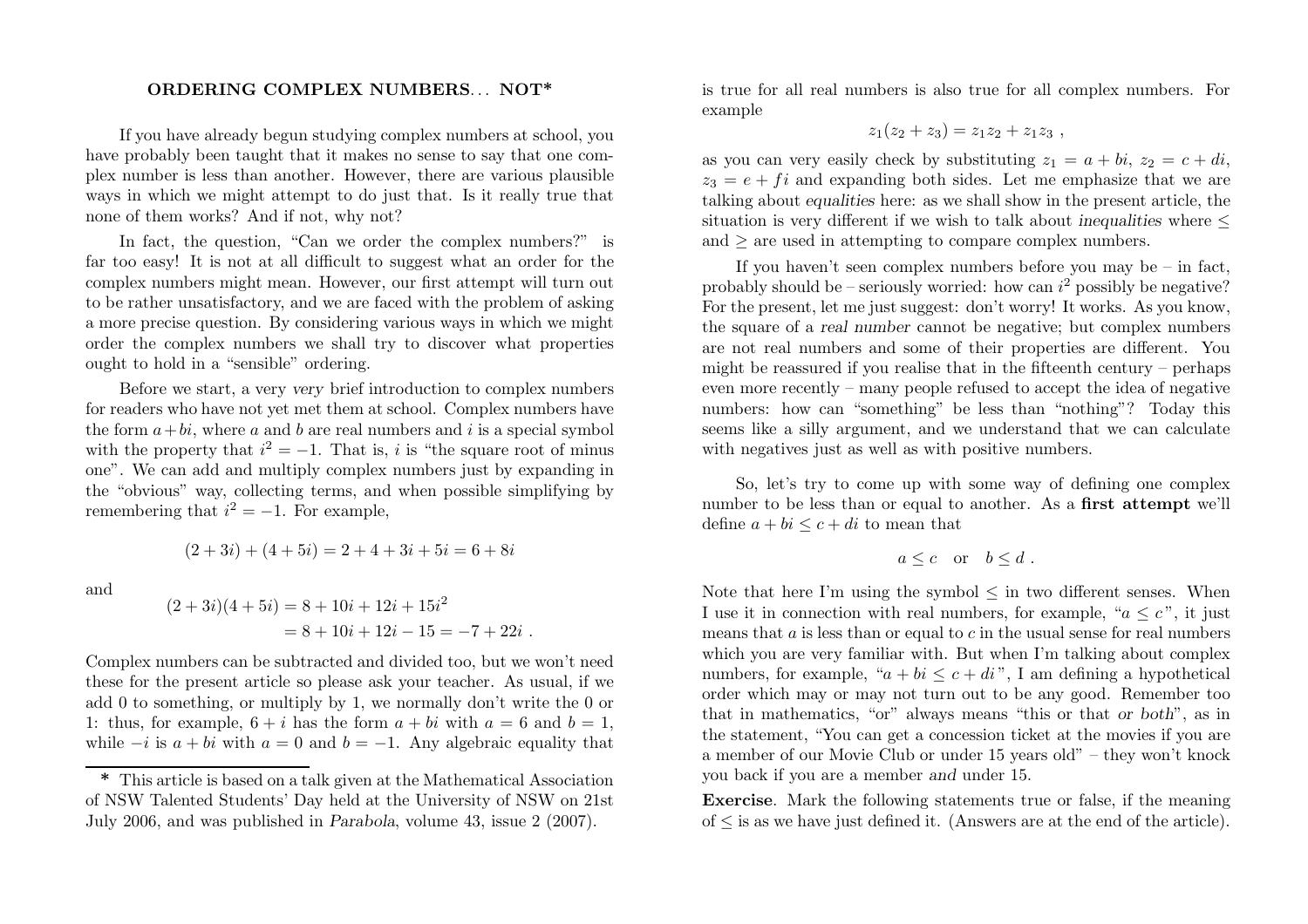## ORDERING COMPLEX NUMBERS... NOT\*

If you have already begun studying complex numbers at school, you have probably been taught that it makes no sense to say that one complex number is less than another. However, there are various plausible ways in which we might attempt to do just that. Is it really true that none of them works? And if not, why not?

In fact, the question, "Can we order the complex numbers?" is far too easy! It is not at all difficult to suggest what an order for the complex numbers might mean. However, our first attempt will turn out to be rather unsatisfactory, and we are faced with the problem of asking <sup>a</sup> more precise question. By considering various ways in which we might order the complex numbers we shall try to discover what properties ought to hold in <sup>a</sup> "sensible" ordering.

Before we start, <sup>a</sup> very very brief introduction to complex numbers for readers who have not yet met them at school. Complex numbers have the form  $a + bi$ , where a and b are real numbers and i is a special symbol with the property that  $i^2 = -1$ . That is, i is "the square root of minus one". We can add and multiply complex numbers just by expanding in the "obvious" way, collecting terms, and when possible simplifying by remembering that  $i^2 = -1$ . For example,

$$
(2+3i) + (4+5i) = 2+4+3i+5i = 6+8i
$$

and

$$
(2+3i)(4+5i) = 8 + 10i + 12i + 15i2
$$
  
= 8 + 10i + 12i - 15 = -7 + 22i.

Complex numbers can be subtracted and divided too, but we won't need these for the present article so <sup>p</sup>lease ask your teacher. As usual, if we add 0 to something, or multiply by 1, we normally don't write the 0 or 1: thus, for example,  $6 + i$  has the form  $a + bi$  with  $a = 6$  and  $b = 1$ . while  $-i$  is  $a + bi$  with  $a = 0$  and  $b = -1$ . Any algebraic equality that

is true for all real numbers is also true for all complex numbers. For example

$$
z_1(z_2 + z_3) = z_1 z_2 + z_1 z_3,
$$

as you can very easily check by substituting  $z_1 = a + bi$ ,  $z_2 = c + di$ ,  $z_3 = e + f$  and expanding both sides. Let me emphasize that we are talking about equalities here: as we shall show in the present article, the situation is very different if we wish to talk about inequalities where  $\leq$ and  $\geq$  are used in attempting to compare complex numbers.

If you haven't seen complex numbers before you may be  $-$  in fact, probably should be – seriously worried: how can  $i^2$  possibly be negative? For the present, let me just suggest: don't worry! It works. As you know, the square of <sup>a</sup> real number cannot be negative; but complex numbers are not real numbers and some of their properties are different. You might be reassured if you realise that in the fifteenth century – perhaps even more recently – many people refused to accept the idea of negative numbers: how can "something" be less than "nothing"? Today this seems like <sup>a</sup> silly argument, and we understand that we can calculate with negatives just as well as with positive numbers.

So, let's try to come up with some way of defining one complex number to be less than or equal to another. As <sup>a</sup> first attempt we'll define  $a + bi \leq c + di$  to mean that

$$
a \leq c \quad \text{or} \quad b \leq d \ .
$$

Note that here I'm using the symbol  $\leq$  in two different senses. When I use it in connection with real numbers, for example, " $a \leq c$ ", it just means that  $a$  is less than or equal to  $c$  in the usual sense for real numbers which you are very familiar with. But when I'm talking about complex numbers, for example, " $a + bi \leq c + di$ ", I am defining a hypothetical order which may or may not turn out to be any good. Remember too that in mathematics, "or" always means "this or that or both", as in the statement, "You can get <sup>a</sup> concession ticket at the movies if you are <sup>a</sup> member of our Movie Club or under 15 years old" – they won't knock you back if you are <sup>a</sup> member and under 15.

Exercise. Mark the following statements true or false, if the meaning  $of \leq$  is as we have just defined it. (Answers are at the end of the article).

<sup>\*</sup> This article is based on <sup>a</sup> talk <sup>g</sup>iven at the Mathematical Association of NSW Talented Students' Day held at the University of NSW on 21st July 2006, and was published in Parabola, volume 43, issue <sup>2</sup> (2007).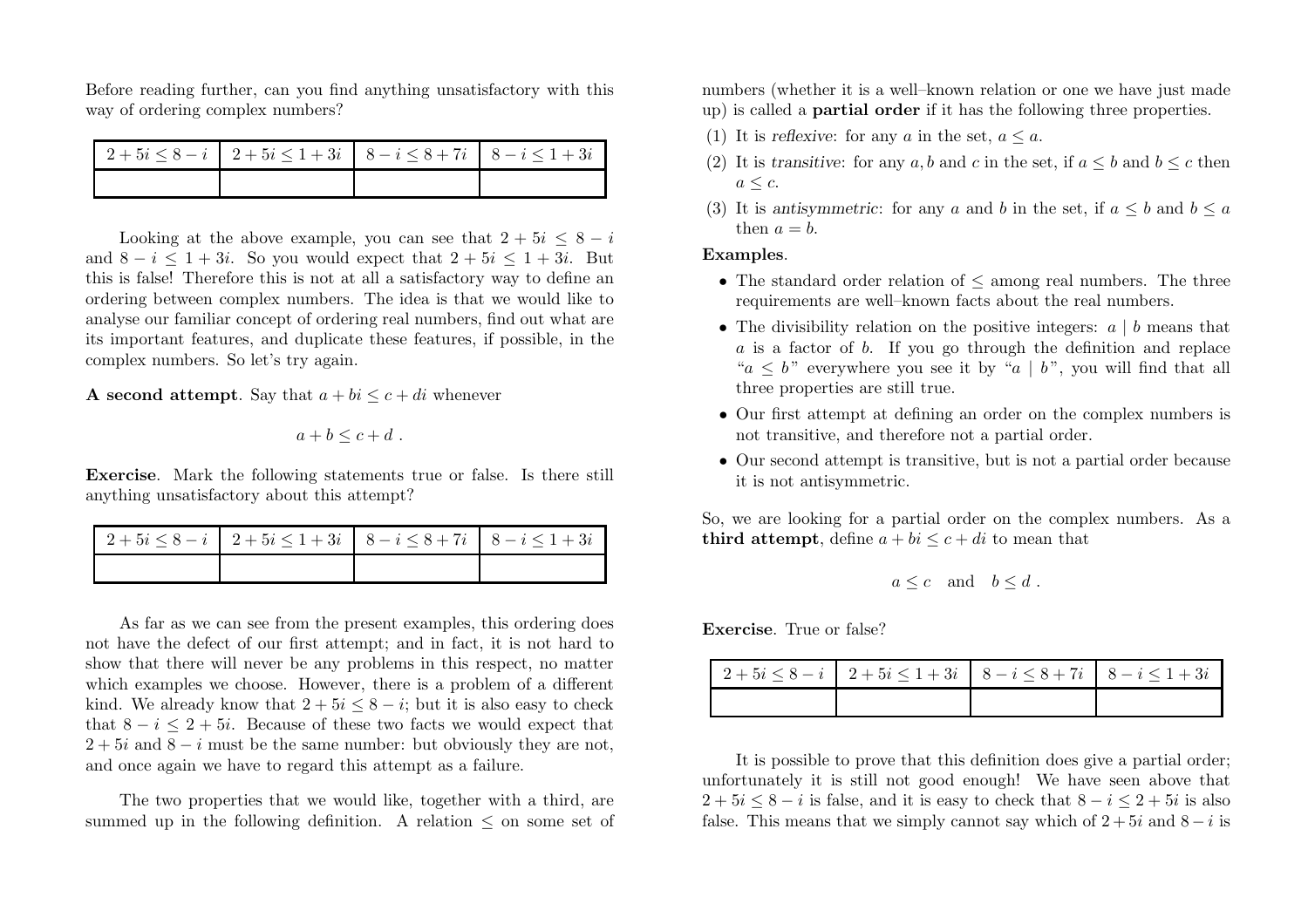Before reading further, can you find anything unsatisfactory with this way of ordering complex numbers?

| $12+5i \leq 8-i$ $2+5i \leq 1+3i$ $8-i \leq 8+7i$ $8-i \leq 1+3i$ |  |
|-------------------------------------------------------------------|--|
|                                                                   |  |

Looking at the above example, you can see that  $2 + 5i \leq 8 - i$ and  $8-i \leq 1+3i$ . So you would expect that  $2+5i \leq 1+3i$ . But this is false! Therefore this is not at all <sup>a</sup> satisfactory way to define an ordering between complex numbers. The idea is that we would like to analyse our familiar concept of ordering real numbers, find out what are its important features, and duplicate these features, if possible, in the complex numbers. So let's try again.

**A** second attempt. Say that  $a + bi \leq c + di$  whenever

$$
a+b\leq c+d.
$$

Exercise. Mark the following statements true or false. Is there still anything unsatisfactory about this attempt?

| $12+5i \leq 8-i$ $2+5i \leq 1+3i$ $8-i \leq 8+7i$ $8-i \leq 1+3i$ |  |
|-------------------------------------------------------------------|--|
|                                                                   |  |

As far as we can see from the present examples, this ordering does not have the defect of our first attempt; and in fact, it is not hard to show that there will never be any problems in this respect, no matter which examples we choose. However, there is <sup>a</sup> problem of <sup>a</sup> different kind. We already know that  $2 + 5i \leq 8 - i$ ; but it is also easy to check that  $8 - i \leq 2 + 5i$ . Because of these two facts we would expect that  $2+5i$  and  $8-i$  must be the same number: but obviously they are not, and once again we have to regard this attempt as <sup>a</sup> failure.

The two properties that we would like, together with <sup>a</sup> third, are summed up in the following definition. A relation  $\leq$  on some set of

numbers (whether it is <sup>a</sup> well–known relation or one we have just made up) is called <sup>a</sup> partial order if it has the following three properties.

- (1) It is reflexive: for any a in the set,  $a \le a$ .
- (2) It is transitive: for any a, b and c in the set, if  $a \leq b$  and  $b \leq c$  then  $a \leq c$ .
- (3) It is antisymmetric: for any a and b in the set, if  $a \leq b$  and  $b \leq a$ then  $a = b$ .

## Examples.

- The standard order relation of  $\leq$  among real numbers. The three requirements are well–known facts about the real numbers.
- The divisibility relation on the positive integers:  $a \mid b$  means that <sup>a</sup> is <sup>a</sup> factor of b. If you go through the definition and replace " $a \leq b$ " everywhere you see it by " $a \mid b$ ", you will find that all three properties are still true.
- Our first attempt at defining an order on the complex numbers is not transitive, and therefore not <sup>a</sup> partial order.
- Our second attempt is transitive, but is not <sup>a</sup> partial order because it is not antisymmetric.

So, we are looking for <sup>a</sup> partial order on the complex numbers. As <sup>a</sup> third attempt, define  $a + bi \leq c + di$  to mean that

$$
a \leq c
$$
 and  $b \leq d$ .

Exercise. True or false?

| $12+5i \leq 8-i$ $2+5i \leq 1+3i$ $8-i \leq 8+7i$ $8-i \leq 1+3i$ |  |
|-------------------------------------------------------------------|--|
|                                                                   |  |

It is possible to prove that this definition does give <sup>a</sup> partial order; unfortunately it is still not good enough! We have seen above that  $2+5i \leq 8-i$  is false, and it is easy to check that  $8-i \leq 2+5i$  is also false. This means that we simply cannot say which of  $2+5i$  and  $8-i$  is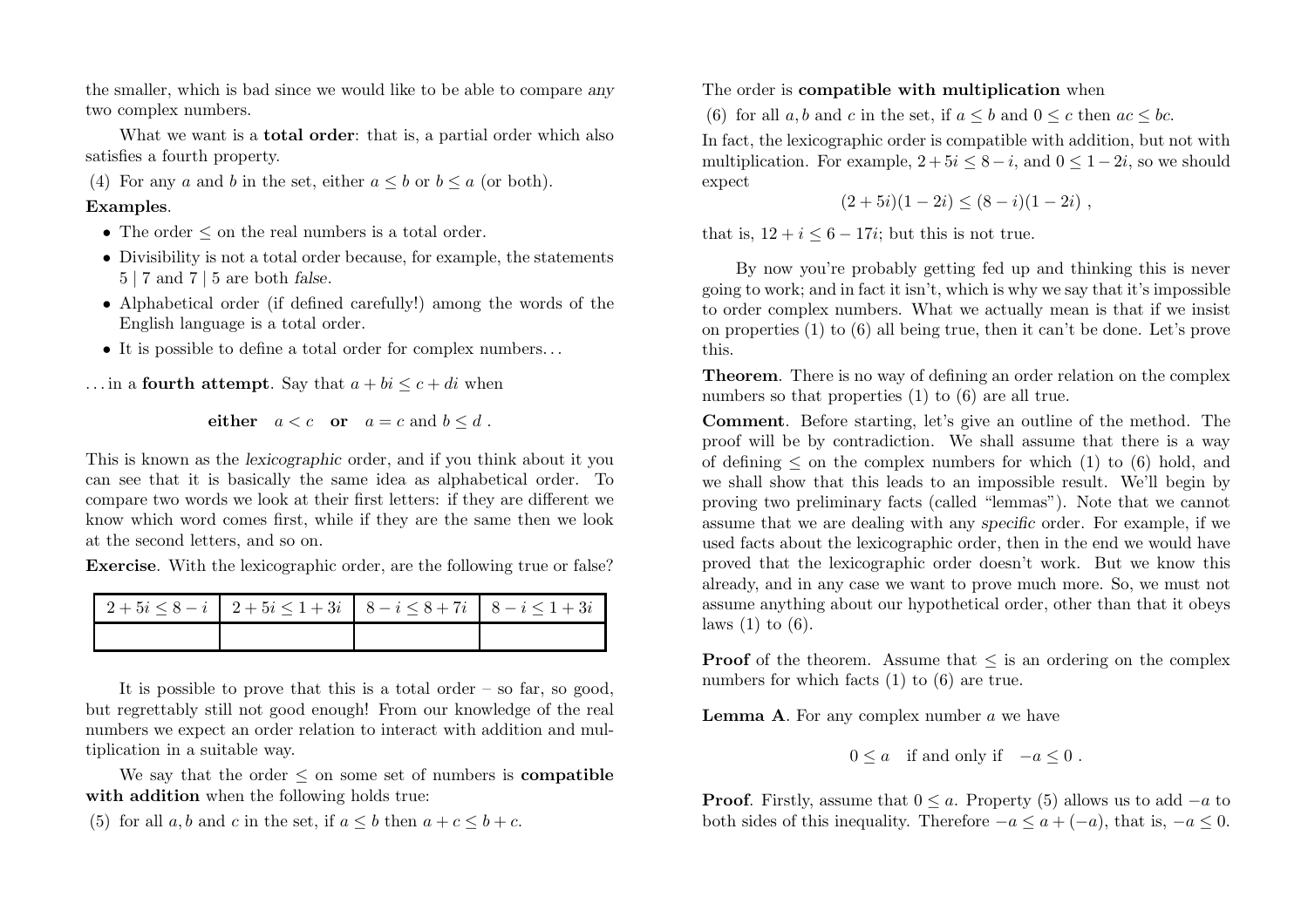the smaller, which is bad since we would like to be able to compare any two complex numbers.

What we want is a **total order**: that is, a partial order which also satisfies <sup>a</sup> fourth property.

(4) For any a and b in the set, either  $a \leq b$  or  $b \leq a$  (or both).

## Examples.

- The order  $\leq$  on the real numbers is a total order.
- Divisibility is not <sup>a</sup> total order because, for example, the statements  $5 \mid 7$  and  $7 \mid 5$  are both false.
- Alphabetical order (if defined carefully!) among the words of the English language is <sup>a</sup> total order.
- It is possible to define <sup>a</sup> total order for complex numbers...
- ... in a **fourth attempt**. Say that  $a + bi \leq c + di$  when

either  $a < c$  or  $a = c$  and  $b \leq d$ .

This is known as the lexicographic order, and if you think about it you can see that it is basically the same idea as alphabetical order. To compare two words we look at their first letters: if they are different we know which word comes first, while if they are the same then we look at the second letters, and so on.

Exercise. With the lexicographic order, are the following true or false?

It is possible to prove that this is a total order – so far, so good, but regrettably still not good enough! From our knowledge of the real numbers we expect an order relation to interact with addition and multiplication in <sup>a</sup> suitable way.

We say that the order  $\leq$  on some set of numbers is **compatible** with addition when the following holds true:

(5) for all  $a, b$  and  $c$  in the set, if  $a \leq b$  then  $a + c \leq b + c$ .

The order is compatible with multiplication when

(6) for all  $a, b$  and  $c$  in the set, if  $a \leq b$  and  $0 \leq c$  then  $ac \leq bc$ . In fact, the lexicographic order is compatible with addition, but not with multiplication. For example,  $2+5i \leq 8-i$ , and  $0 \leq 1-2i$ , so we should expect

$$
(2+5i)(1-2i) \le (8-i)(1-2i) ,
$$

that is,  $12 + i \leq 6 - 17i$ ; but this is not true.

By now you're probably getting fed up and thinking this is never going to work; and in fact it isn't, which is why we say that it's impossible to order complex numbers. What we actually mean is that if we insist on properties (1) to (6) all being true, then it can't be done. Let's prove this.

Theorem. There is no way of defining an order relation on the complex numbers so that properties (1) to (6) are all true.

Comment. Before starting, let's give an outline of the method. The proof will be by contradiction. We shall assume that there is <sup>a</sup> way of defining  $\leq$  on the complex numbers for which (1) to (6) hold, and we shall show that this leads to an impossible result. We'll begin by proving two preliminary facts (called "lemmas"). Note that we cannot assume that we are dealing with any specific order. For example, if we used facts about the lexicographic order, then in the end we would have proved that the lexicographic order doesn't work. But we know this already, and in any case we want to prove much more. So, we must not assume anything about our hypothetical order, other than that it obeys laws  $(1)$  to  $(6)$ .

**Proof** of the theorem. Assume that  $\leq$  is an ordering on the complex numbers for which facts (1) to (6) are true.

**Lemma A.** For any complex number  $a$  we have

$$
0\leq a\quad\text{if and only if}\quad -a\leq 0\,\,.
$$

**Proof.** Firstly, assume that  $0 \le a$ . Property (5) allows us to add  $-a$  to both sides of this inequality. Therefore  $-a \le a + (-a)$ , that is,  $-a \le 0$ .